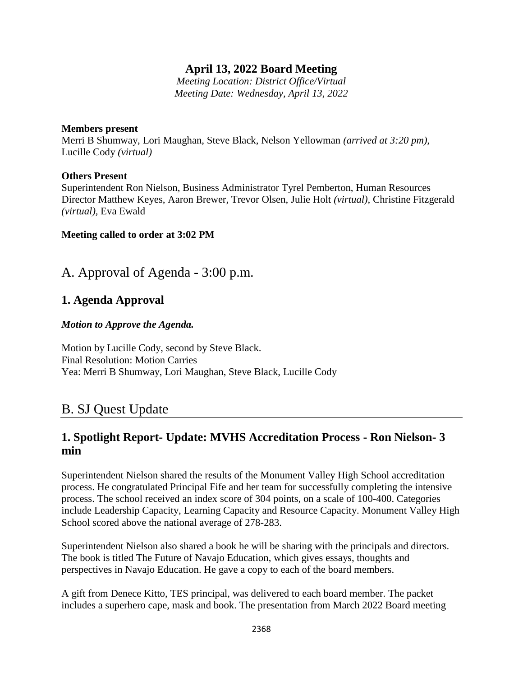# **April 13, 2022 Board Meeting**

*Meeting Location: District Office/Virtual Meeting Date: Wednesday, April 13, 2022*

#### **Members present**

Merri B Shumway, Lori Maughan, Steve Black, Nelson Yellowman *(arrived at 3:20 pm),* Lucille Cody *(virtual)*

### **Others Present**

Superintendent Ron Nielson, Business Administrator Tyrel Pemberton, Human Resources Director Matthew Keyes, Aaron Brewer, Trevor Olsen, Julie Holt *(virtual)*, Christine Fitzgerald *(virtual),* Eva Ewald

### **Meeting called to order at 3:02 PM**

# A. Approval of Agenda - 3:00 p.m.

## **1. Agenda Approval**

### *Motion to Approve the Agenda.*

Motion by Lucille Cody, second by Steve Black. Final Resolution: Motion Carries Yea: Merri B Shumway, Lori Maughan, Steve Black, Lucille Cody

# B. SJ Quest Update

# **1. Spotlight Report- Update: MVHS Accreditation Process - Ron Nielson- 3 min**

Superintendent Nielson shared the results of the Monument Valley High School accreditation process. He congratulated Principal Fife and her team for successfully completing the intensive process. The school received an index score of 304 points, on a scale of 100-400. Categories include Leadership Capacity, Learning Capacity and Resource Capacity. Monument Valley High School scored above the national average of 278-283.

Superintendent Nielson also shared a book he will be sharing with the principals and directors. The book is titled The Future of Navajo Education, which gives essays, thoughts and perspectives in Navajo Education. He gave a copy to each of the board members.

A gift from Denece Kitto, TES principal, was delivered to each board member. The packet includes a superhero cape, mask and book. The presentation from March 2022 Board meeting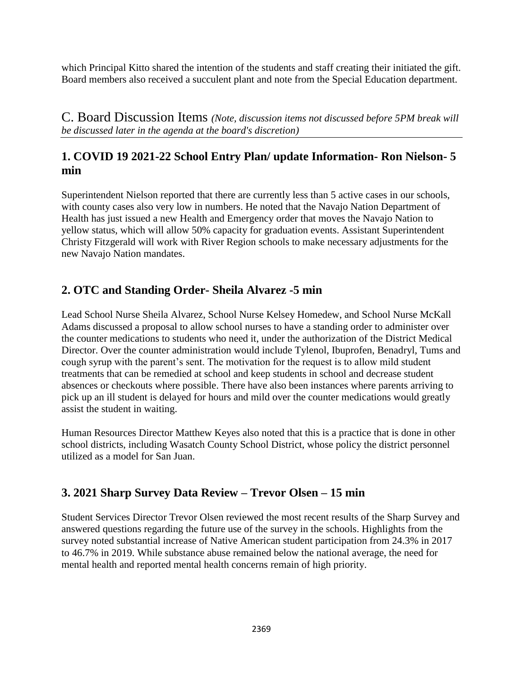which Principal Kitto shared the intention of the students and staff creating their initiated the gift. Board members also received a succulent plant and note from the Special Education department.

C. Board Discussion Items *(Note, discussion items not discussed before 5PM break will be discussed later in the agenda at the board's discretion)*

# **1. COVID 19 2021-22 School Entry Plan/ update Information- Ron Nielson- 5 min**

Superintendent Nielson reported that there are currently less than 5 active cases in our schools, with county cases also very low in numbers. He noted that the Navajo Nation Department of Health has just issued a new Health and Emergency order that moves the Navajo Nation to yellow status, which will allow 50% capacity for graduation events. Assistant Superintendent Christy Fitzgerald will work with River Region schools to make necessary adjustments for the new Navajo Nation mandates.

# **2. OTC and Standing Order- Sheila Alvarez -5 min**

Lead School Nurse Sheila Alvarez, School Nurse Kelsey Homedew, and School Nurse McKall Adams discussed a proposal to allow school nurses to have a standing order to administer over the counter medications to students who need it, under the authorization of the District Medical Director. Over the counter administration would include Tylenol, Ibuprofen, Benadryl, Tums and cough syrup with the parent's sent. The motivation for the request is to allow mild student treatments that can be remedied at school and keep students in school and decrease student absences or checkouts where possible. There have also been instances where parents arriving to pick up an ill student is delayed for hours and mild over the counter medications would greatly assist the student in waiting.

Human Resources Director Matthew Keyes also noted that this is a practice that is done in other school districts, including Wasatch County School District, whose policy the district personnel utilized as a model for San Juan.

# **3. 2021 Sharp Survey Data Review – Trevor Olsen – 15 min**

Student Services Director Trevor Olsen reviewed the most recent results of the Sharp Survey and answered questions regarding the future use of the survey in the schools. Highlights from the survey noted substantial increase of Native American student participation from 24.3% in 2017 to 46.7% in 2019. While substance abuse remained below the national average, the need for mental health and reported mental health concerns remain of high priority.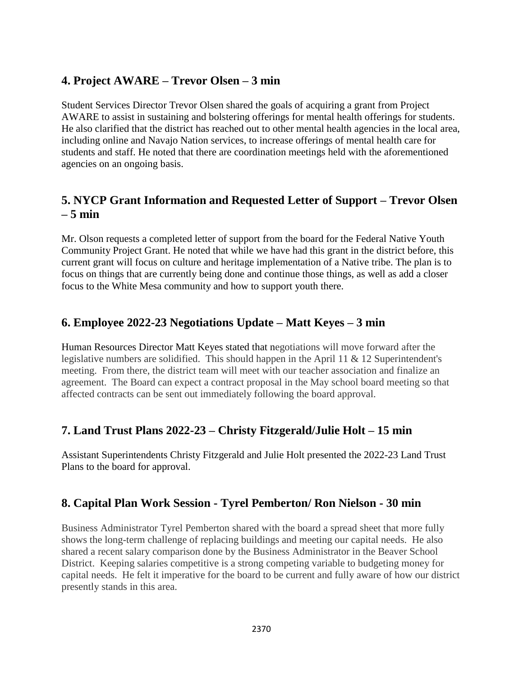# **4. Project AWARE – Trevor Olsen – 3 min**

Student Services Director Trevor Olsen shared the goals of acquiring a grant from Project AWARE to assist in sustaining and bolstering offerings for mental health offerings for students. He also clarified that the district has reached out to other mental health agencies in the local area, including online and Navajo Nation services, to increase offerings of mental health care for students and staff. He noted that there are coordination meetings held with the aforementioned agencies on an ongoing basis.

# **5. NYCP Grant Information and Requested Letter of Support – Trevor Olsen – 5 min**

Mr. Olson requests a completed letter of support from the board for the Federal Native Youth Community Project Grant. He noted that while we have had this grant in the district before, this current grant will focus on culture and heritage implementation of a Native tribe. The plan is to focus on things that are currently being done and continue those things, as well as add a closer focus to the White Mesa community and how to support youth there.

## **6. Employee 2022-23 Negotiations Update – Matt Keyes – 3 min**

Human Resources Director Matt Keyes stated that negotiations will move forward after the legislative numbers are solidified. This should happen in the April 11 & 12 Superintendent's meeting. From there, the district team will meet with our teacher association and finalize an agreement. The Board can expect a contract proposal in the May school board meeting so that affected contracts can be sent out immediately following the board approval.

# **7. Land Trust Plans 2022-23 – Christy Fitzgerald/Julie Holt – 15 min**

Assistant Superintendents Christy Fitzgerald and Julie Holt presented the 2022-23 Land Trust Plans to the board for approval.

### **8. Capital Plan Work Session - Tyrel Pemberton/ Ron Nielson - 30 min**

Business Administrator Tyrel Pemberton shared with the board a spread sheet that more fully shows the long-term challenge of replacing buildings and meeting our capital needs. He also shared a recent salary comparison done by the Business Administrator in the Beaver School District. Keeping salaries competitive is a strong competing variable to budgeting money for capital needs. He felt it imperative for the board to be current and fully aware of how our district presently stands in this area.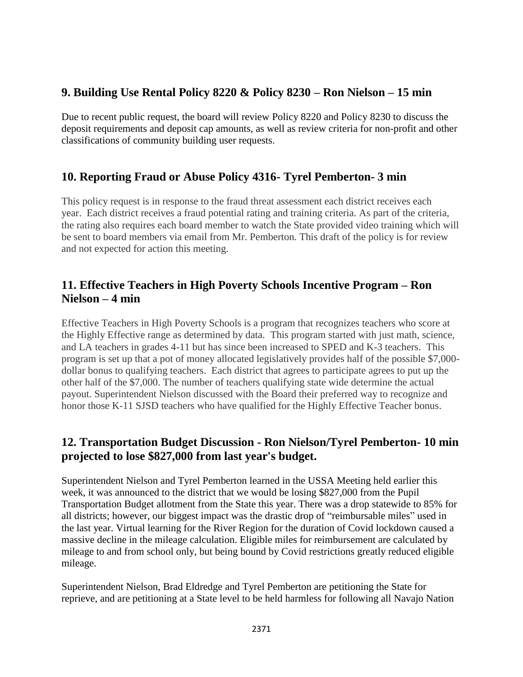## **9. Building Use Rental Policy 8220 & Policy 8230 – Ron Nielson – 15 min**

Due to recent public request, the board will review Policy 8220 and Policy 8230 to discuss the deposit requirements and deposit cap amounts, as well as review criteria for non-profit and other classifications of community building user requests.

# **10. Reporting Fraud or Abuse Policy 4316- Tyrel Pemberton- 3 min**

This policy request is in response to the fraud threat assessment each district receives each year. Each district receives a fraud potential rating and training criteria. As part of the criteria, the rating also requires each board member to watch the State provided video training which will be sent to board members via email from Mr. Pemberton. This draft of the policy is for review and not expected for action this meeting.

# **11. Effective Teachers in High Poverty Schools Incentive Program – Ron Nielson – 4 min**

Effective Teachers in High Poverty Schools is a program that recognizes teachers who score at the Highly Effective range as determined by data. This program started with just math, science, and LA teachers in grades 4-11 but has since been increased to SPED and K-3 teachers. This program is set up that a pot of money allocated legislatively provides half of the possible \$7,000 dollar bonus to qualifying teachers. Each district that agrees to participate agrees to put up the other half of the \$7,000. The number of teachers qualifying state wide determine the actual payout. Superintendent Nielson discussed with the Board their preferred way to recognize and honor those K-11 SJSD teachers who have qualified for the Highly Effective Teacher bonus.

# **12. Transportation Budget Discussion - Ron Nielson/Tyrel Pemberton- 10 min projected to lose \$827,000 from last year's budget.**

Superintendent Nielson and Tyrel Pemberton learned in the USSA Meeting held earlier this week, it was announced to the district that we would be losing \$827,000 from the Pupil Transportation Budget allotment from the State this year. There was a drop statewide to 85% for all districts; however, our biggest impact was the drastic drop of "reimbursable miles" used in the last year. Virtual learning for the River Region for the duration of Covid lockdown caused a massive decline in the mileage calculation. Eligible miles for reimbursement are calculated by mileage to and from school only, but being bound by Covid restrictions greatly reduced eligible mileage.

Superintendent Nielson, Brad Eldredge and Tyrel Pemberton are petitioning the State for reprieve, and are petitioning at a State level to be held harmless for following all Navajo Nation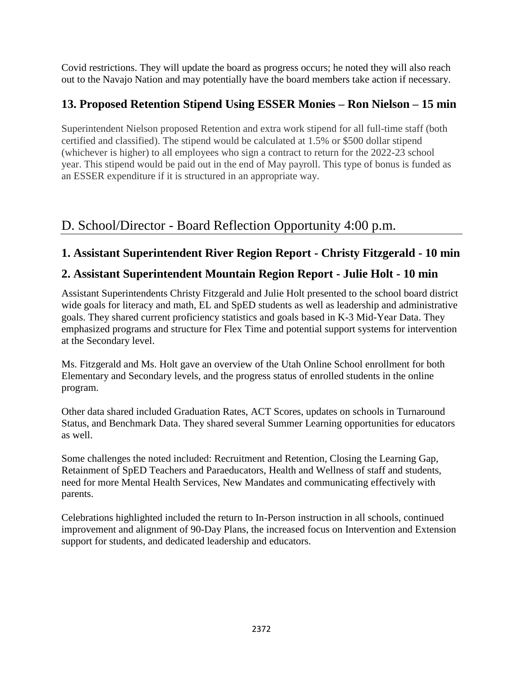Covid restrictions. They will update the board as progress occurs; he noted they will also reach out to the Navajo Nation and may potentially have the board members take action if necessary.

# **13. Proposed Retention Stipend Using ESSER Monies – Ron Nielson – 15 min**

Superintendent Nielson proposed Retention and extra work stipend for all full-time staff (both certified and classified). The stipend would be calculated at 1.5% or \$500 dollar stipend (whichever is higher) to all employees who sign a contract to return for the 2022-23 school year. This stipend would be paid out in the end of May payroll. This type of bonus is funded as an ESSER expenditure if it is structured in an appropriate way.

# D. School/Director - Board Reflection Opportunity 4:00 p.m.

# **1. Assistant Superintendent River Region Report - Christy Fitzgerald - 10 min**

# **2. Assistant Superintendent Mountain Region Report - Julie Holt - 10 min**

Assistant Superintendents Christy Fitzgerald and Julie Holt presented to the school board district wide goals for literacy and math, EL and SpED students as well as leadership and administrative goals. They shared current proficiency statistics and goals based in K-3 Mid-Year Data. They emphasized programs and structure for Flex Time and potential support systems for intervention at the Secondary level.

Ms. Fitzgerald and Ms. Holt gave an overview of the Utah Online School enrollment for both Elementary and Secondary levels, and the progress status of enrolled students in the online program.

Other data shared included Graduation Rates, ACT Scores, updates on schools in Turnaround Status, and Benchmark Data. They shared several Summer Learning opportunities for educators as well.

Some challenges the noted included: Recruitment and Retention, Closing the Learning Gap, Retainment of SpED Teachers and Paraeducators, Health and Wellness of staff and students, need for more Mental Health Services, New Mandates and communicating effectively with parents.

Celebrations highlighted included the return to In-Person instruction in all schools, continued improvement and alignment of 90-Day Plans, the increased focus on Intervention and Extension support for students, and dedicated leadership and educators.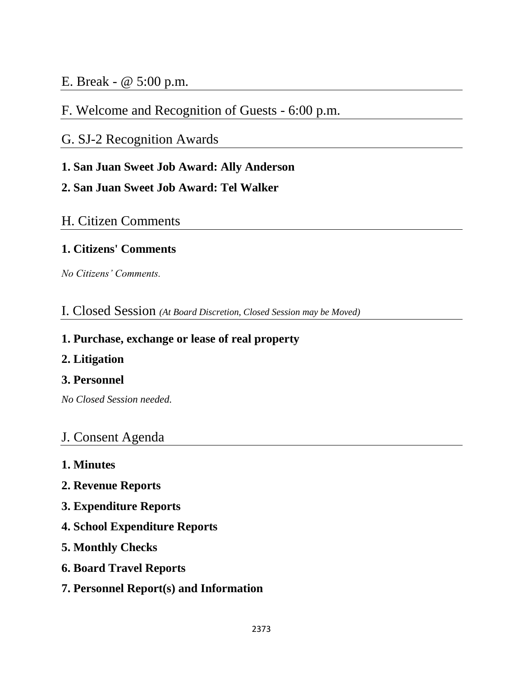# E. Break - @ 5:00 p.m.

# F. Welcome and Recognition of Guests - 6:00 p.m.

# G. SJ-2 Recognition Awards

# **1. San Juan Sweet Job Award: Ally Anderson**

# **2. San Juan Sweet Job Award: Tel Walker**

# H. Citizen Comments

# **1. Citizens' Comments**

*No Citizens' Comments.* 

# I. Closed Session *(At Board Discretion, Closed Session may be Moved)*

## **1. Purchase, exchange or lease of real property**

## **2. Litigation**

# **3. Personnel**

*No Closed Session needed.* 

# J. Consent Agenda

- **1. Minutes**
- **2. Revenue Reports**
- **3. Expenditure Reports**
- **4. School Expenditure Reports**
- **5. Monthly Checks**
- **6. Board Travel Reports**
- **7. Personnel Report(s) and Information**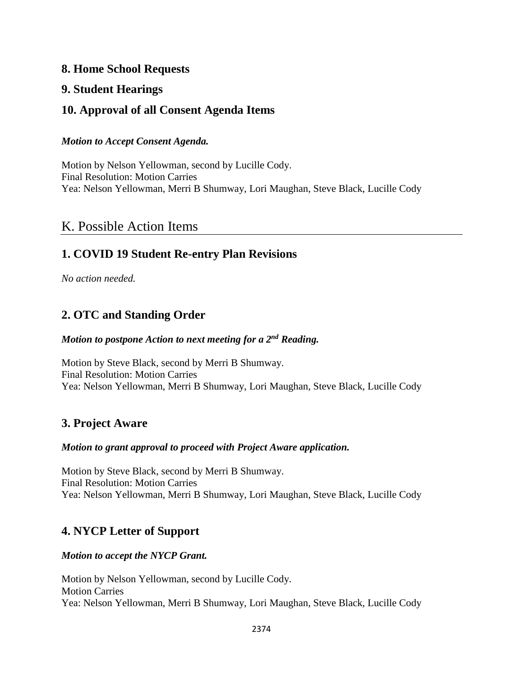### **8. Home School Requests**

## **9. Student Hearings**

# **10. Approval of all Consent Agenda Items**

### *Motion to Accept Consent Agenda.*

Motion by Nelson Yellowman, second by Lucille Cody. Final Resolution: Motion Carries Yea: Nelson Yellowman, Merri B Shumway, Lori Maughan, Steve Black, Lucille Cody

# K. Possible Action Items

# **1. COVID 19 Student Re-entry Plan Revisions**

*No action needed.*

# **2. OTC and Standing Order**

### *Motion to postpone Action to next meeting for a 2nd Reading.*

Motion by Steve Black, second by Merri B Shumway. Final Resolution: Motion Carries Yea: Nelson Yellowman, Merri B Shumway, Lori Maughan, Steve Black, Lucille Cody

# **3. Project Aware**

### *Motion to grant approval to proceed with Project Aware application.*

Motion by Steve Black, second by Merri B Shumway. Final Resolution: Motion Carries Yea: Nelson Yellowman, Merri B Shumway, Lori Maughan, Steve Black, Lucille Cody

# **4. NYCP Letter of Support**

### *Motion to accept the NYCP Grant.*

Motion by Nelson Yellowman, second by Lucille Cody. Motion Carries Yea: Nelson Yellowman, Merri B Shumway, Lori Maughan, Steve Black, Lucille Cody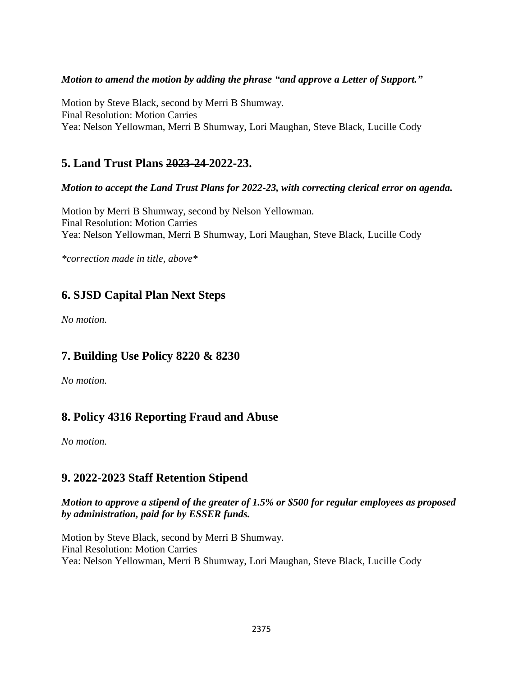### *Motion to amend the motion by adding the phrase "and approve a Letter of Support."*

Motion by Steve Black, second by Merri B Shumway. Final Resolution: Motion Carries Yea: Nelson Yellowman, Merri B Shumway, Lori Maughan, Steve Black, Lucille Cody

## **5. Land Trust Plans 2023-24 2022-23.**

### *Motion to accept the Land Trust Plans for 2022-23, with correcting clerical error on agenda.*

Motion by Merri B Shumway, second by Nelson Yellowman. Final Resolution: Motion Carries Yea: Nelson Yellowman, Merri B Shumway, Lori Maughan, Steve Black, Lucille Cody

*\*correction made in title, above\**

# **6. SJSD Capital Plan Next Steps**

*No motion.*

# **7. Building Use Policy 8220 & 8230**

*No motion.* 

# **8. Policy 4316 Reporting Fraud and Abuse**

*No motion.*

# **9. 2022-2023 Staff Retention Stipend**

### *Motion to approve a stipend of the greater of 1.5% or \$500 for regular employees as proposed by administration, paid for by ESSER funds.*

Motion by Steve Black, second by Merri B Shumway. Final Resolution: Motion Carries Yea: Nelson Yellowman, Merri B Shumway, Lori Maughan, Steve Black, Lucille Cody